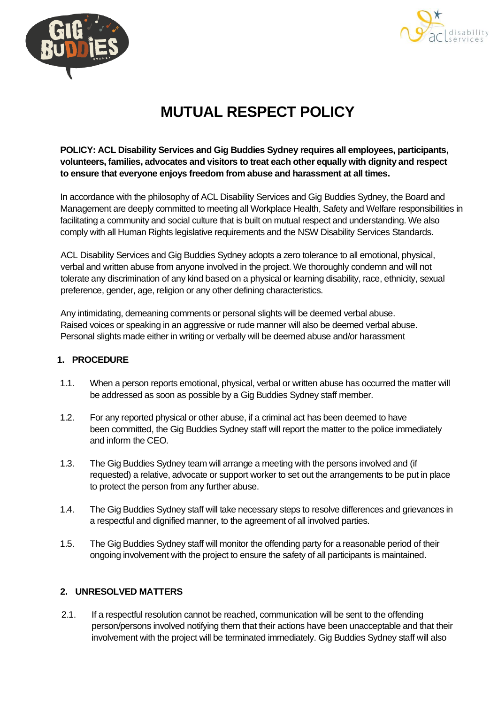



## **MUTUAL RESPECT POLICY**

**POLICY: ACL Disability Services and Gig Buddies Sydney requires all employees, participants, volunteers, families, advocates and visitors to treat each other equally with dignity and respect to ensure that everyone enjoys freedom from abuse and harassment at all times.**

In accordance with the philosophy of ACL Disability Services and Gig Buddies Sydney, the Board and Management are deeply committed to meeting all Workplace Health, Safety and Welfare responsibilities in facilitating a community and social culture that is built on mutual respect and understanding. We also comply with all Human Rights legislative requirements and the NSW Disability Services Standards.

ACL Disability Services and Gig Buddies Sydney adopts a zero tolerance to all emotional, physical, verbal and written abuse from anyone involved in the project. We thoroughly condemn and will not tolerate any discrimination of any kind based on a physical or learning disability, race, ethnicity, sexual preference, gender, age, religion or any other defining characteristics.

Any intimidating, demeaning comments or personal slights will be deemed verbal abuse. Raised voices or speaking in an aggressive or rude manner will also be deemed verbal abuse. Personal slights made either in writing or verbally will be deemed abuse and/or harassment

## **1. PROCEDURE**

- 1.1. When a person reports emotional, physical, verbal or written abuse has occurred the matter will be addressed as soon as possible by a Gig Buddies Sydney staff member.
- 1.2. For any reported physical or other abuse, if a criminal act has been deemed to have been committed, the Gig Buddies Sydney staff will report the matter to the police immediately and inform the CEO.
- 1.3. The Gig Buddies Sydney team will arrange a meeting with the persons involved and (if requested) a relative, advocate or support worker to set out the arrangements to be put in place to protect the person from any further abuse.
- 1.4. The Gig Buddies Sydney staff will take necessary steps to resolve differences and grievances in a respectful and dignified manner, to the agreement of all involved parties.
- 1.5. The Gig Buddies Sydney staff will monitor the offending party for a reasonable period of their ongoing involvement with the project to ensure the safety of all participants is maintained.

## **2. UNRESOLVED MATTERS**

2.1. If a respectful resolution cannot be reached, communication will be sent to the offending person/persons involved notifying them that their actions have been unacceptable and that their involvement with the project will be terminated immediately. Gig Buddies Sydney staff will also